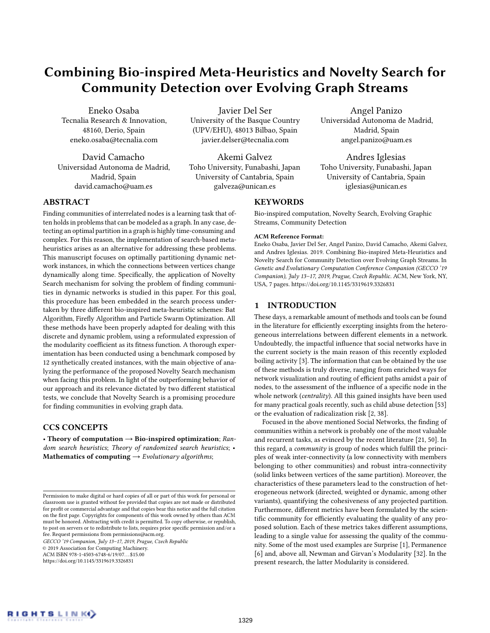# Combining Bio-inspired Meta-Heuristics and Novelty Search for Community Detection over Evolving Graph Streams

Eneko Osaba Tecnalia Research & Innovation, 48160, Derio, Spain eneko.osaba@tecnalia.com

David Camacho Universidad Autonoma de Madrid, Madrid, Spain david.camacho@uam.es

Javier Del Ser University of the Basque Country (UPV/EHU), 48013 Bilbao, Spain javier.delser@tecnalia.com

Akemi Galvez Toho University, Funabashi, Japan University of Cantabria, Spain galveza@unican.es

# **KEYWORDS**

Bio-inspired computation, Novelty Search, Evolving Graphic Streams, Community Detection

Angel Panizo Universidad Autonoma de Madrid, Madrid, Spain angel.panizo@uam.es

Andres Iglesias Toho University, Funabashi, Japan University of Cantabria, Spain iglesias@unican.es

#### ACM Reference Format:

Eneko Osaba, Javier Del Ser, Angel Panizo, David Camacho, Akemi Galvez, and Andres Iglesias. 2019. Combining Bio-inspired Meta-Heuristics and Novelty Search for Community Detection over Evolving Graph Streams. In Genetic and Evolutionary Computation Conference Companion (GECCO '19 Companion), July 13–17, 2019, Prague, Czech Republic. ACM, New York, NY, USA, [7](#page-6-0) pages.<https://doi.org/10.1145/3319619.3326831>

# 1 INTRODUCTION

These days, a remarkable amount of methods and tools can be found in the literature for efficiently excerpting insights from the heterogeneous interrelations between different elements in a network. Undoubtedly, the impactful influence that social networks have in the current society is the main reason of this recently exploded boiling activity [\[3\]](#page-5-0). The information that can be obtained by the use of these methods is truly diverse, ranging from enriched ways for network visualization and routing of efficient paths amidst a pair of nodes, to the assessment of the influence of a specific node in the whole network (centrality). All this gained insights have been used for many practical goals recently, such as child abuse detection [\[53\]](#page-6-1) or the evaluation of radicalization risk [\[2,](#page-5-1) [38\]](#page-6-2).

Focused in the above mentioned Social Networks, the finding of communities within a network is probably one of the most valuable and recurrent tasks, as evinced by the recent literature [\[21,](#page-6-3) [50\]](#page-6-4). In this regard, a community is group of nodes which fulfill the principles of weak inter-connectivity (a low connectivity with members belonging to other communities) and robust intra-connectivity (solid links between vertices of the same partition). Moreover, the characteristics of these parameters lead to the construction of heterogeneous network (directed, weighted or dynamic, among other variants), quantifying the cohesiveness of any projected partition. Furthermore, different metrics have been formulated by the scientific community for efficiently evaluating the quality of any proposed solution. Each of these metrics takes different assumptions, leading to a single value for assessing the quality of the community. Some of the most used examples are Surprise [\[1\]](#page-5-2), Permanence [\[6\]](#page-5-3) and, above all, Newman and Girvan's Modularity [\[32\]](#page-6-5). In the present research, the latter Modularity is considered.

# ABSTRACT

Finding communities of interrelated nodes is a learning task that often holds in problems that can be modeled as a graph. In any case, detecting an optimal partition in a graph is highly time-consuming and complex. For this reason, the implementation of search-based metaheuristics arises as an alternative for addressing these problems. This manuscript focuses on optimally partitioning dynamic network instances, in which the connections between vertices change dynamically along time. Specifically, the application of Novelty Search mechanism for solving the problem of finding communities in dynamic networks is studied in this paper. For this goal, this procedure has been embedded in the search process undertaken by three different bio-inspired meta-heuristic schemes: Bat Algorithm, Firefly Algorithm and Particle Swarm Optimization. All these methods have been properly adapted for dealing with this discrete and dynamic problem, using a reformulated expression of the modularity coefficient as its fitness function. A thorough experimentation has been conducted using a benchmark composed by 12 synthetically created instances, with the main objective of analyzing the performance of the proposed Novelty Search mechanism when facing this problem. In light of the outperforming behavior of our approach and its relevance dictated by two different statistical tests, we conclude that Novelty Search is a promising procedure for finding communities in evolving graph data.

# CCS CONCEPTS

• Theory of computation  $\rightarrow$  Bio-inspired optimization; Random search heuristics; Theory of randomized search heuristics; • Mathematics of computing  $\rightarrow$  Evolutionary algorithms;

GECCO '19 Companion, July 13–17, 2019, Prague, Czech Republic

© 2019 Association for Computing Machinery.

ACM ISBN 978-1-4503-6748-6/19/07. . . \$15.00

<https://doi.org/10.1145/3319619.3326831>

Permission to make digital or hard copies of all or part of this work for personal or classroom use is granted without fee provided that copies are not made or distributed for profit or commercial advantage and that copies bear this notice and the full citation on the first page. Copyrights for components of this work owned by others than ACM must be honored. Abstracting with credit is permitted. To copy otherwise, or republish, to post on servers or to redistribute to lists, requires prior specific permission and/or a fee. Request permissions from permissions@acm.org.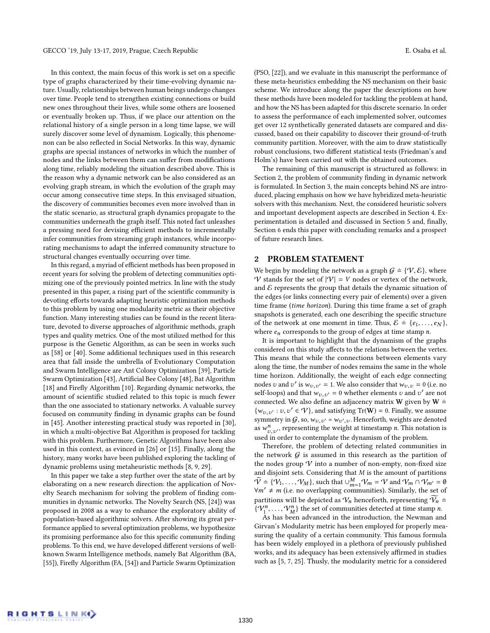In this context, the main focus of this work is set on a specific type of graphs characterized by their time-evolving dynamic nature. Usually, relationships between human beings undergo changes over time. People tend to strengthen existing connections or build new ones throughout their lives, while some others are loosened or eventually broken up. Thus, if we place our attention on the relational history of a single person in a long time lapse, we will surely discover some level of dynamism. Logically, this phenomenon can be also reflected in Social Networks. In this way, dynamic graphs are special instances of networks in which the number of nodes and the links between them can suffer from modifications along time, reliably modeling the situation described above. This is the reason why a dynamic network can be also considered as an evolving graph stream, in which the evolution of the graph may occur among consecutive time steps. In this envisaged situation, the discovery of communities becomes even more involved than in the static scenario, as structural graph dynamics propagate to the communities underneath the graph itself. This noted fact unleashes a pressing need for devising efficient methods to incrementally infer communities from streaming graph instances, while incorporating mechanisms to adapt the inferred community structure to structural changes eventually occurring over time.

In this regard, a myriad of efficient methods has been proposed in recent years for solving the problem of detecting communities optimizing one of the previously pointed metrics. In line with the study presented in this paper, a rising part of the scientific community is devoting efforts towards adapting heuristic optimization methods to this problem by using one modularity metric as their objective function. Many interesting studies can be found in the recent literature, devoted to diverse approaches of algorithmic methods, graph types and quality metrics. One of the most utilized method for this purpose is the Genetic Algorithm, as can be seen in works such as [\[58\]](#page-6-6) or [\[40\]](#page-6-7). Some additional techniques used in this research area that fall inside the umbrella of Evolutionary Computation and Swarm Intelligence are Ant Colony Optimization [\[39\]](#page-6-8), Particle Swarm Optimization [\[43\]](#page-6-9), Artificial Bee Colony [\[48\]](#page-6-10), Bat Algorithm [\[18\]](#page-6-11) and Firefly Algorithm [\[10\]](#page-5-4). Regarding dynamic networks, the amount of scientific studied related to this topic is much fewer than the one associated to stationary networks. A valuable survey focused on community finding in dynamic graphs can be found in [\[45\]](#page-6-12). Another interesting practical study was reported in [\[30\]](#page-6-13), in which a multi-objective Bat Algorithm is proposed for tackling with this problem. Furthermore, Genetic Algorithms have been also used in this context, as evinced in [\[26\]](#page-6-14) or [\[15\]](#page-6-15). Finally, along the history, many works have been published exploring the tackling of dynamic problems using metaheuristic methods [\[8,](#page-5-5) [9,](#page-5-6) [29\]](#page-6-16).

In this paper we take a step further over the state of the art by elaborating on a new research direction: the application of Novelty Search mechanism for solving the problem of finding communities in dynamic networks. The Novelty Search (NS, [\[24\]](#page-6-17)) was proposed in 2008 as a way to enhance the exploratory ability of population-based algorithmic solvers. After showing its great performance applied to several optimization problems, we hypothesize its promising performance also for this specific community finding problems. To this end, we have developed different versions of wellknown Swarm Intelligence methods, namely Bat Algorithm (BA, [\[55\]](#page-6-18)), Firefly Algorithm (FA, [\[54\]](#page-6-19)) and Particle Swarm Optimization

(PSO, [\[22\]](#page-6-20)), and we evaluate in this manuscript the performance of these meta-heuristics embedding the NS mechanism on their basic scheme. We introduce along the paper the descriptions on how these methods have been modeled for tackling the problem at hand, and how the NS has been adapted for this discrete scenario. In order to assess the performance of each implemented solver, outcomes get over 12 synthetically generated datasets are compared and discussed, based on their capability to discover their ground-of-truth community partition. Moreover, with the aim to draw statistically robust conclusions, two different statistical tests (Friedman's and Holm's) have been carried out with the obtained outcomes.

The remaining of this manuscript is structured as follows: in Section [2,](#page-1-0) the problem of community finding in dynamic network is formulated. In Section [3,](#page-2-0) the main concepts behind NS are introduced, placing emphasis on how we have hybridized meta-heuristic solvers with this mechanism. Next, the considered heuristic solvers and important development aspects are described in Section [4.](#page-2-1) Experimentation is detailed and discussed in Section [5](#page-3-0) and, finally, Section [6](#page-5-7) ends this paper with concluding remarks and a prospect of future research lines.

### <span id="page-1-0"></span>2 PROBLEM STATEMENT

We begin by modeling the network as a graph  $G = \{V, \mathcal{E}\}\$ , where V stands for the set of  $|V| = V$  nodes or vertex of the network, and  $E$  represents the group that details the dynamic situation of the edges (or links connecting every pair of elements) over a given time frame (time horizon). During this time frame a set of graph snapshots is generated, each one describing the specific structure of the network at one moment in time. Thus,  $\mathcal{E} = \{e_1, \ldots, e_N\},\$ where  $e_n$  corresponds to the group of edges at time stamp n.

It is important to highlight that the dynamism of the graphs considered on this study affects to the relations between the vertex. This means that while the connections between elements vary along the time, the number of nodes remains the same in the whole time horizon. Additionally, the weight of each edge connecting nodes v and v' is  $w_{v,v'} = 1$ . We also consider that  $w_{v,v} = 0$  (i.e. no<br>self-loops) and that  $w_{v,v} = 0$  whether elements v and v' are not self-loops) and that  $w_{v,v'} = 0$  whether elements v and v' are not connected. We also define an adjacency matrix **W** given by  $W =$ connected. We also define an adjacency matrix **W** given by **W**  $\div$  $\{w_v, v' : v, v' \in V\}$ , and satisfying  $Tr(\mathbf{W}) = 0$ . Finally, we assume<br>example to  $G$  so  $W = \mathbb{R}$ . Henceforth weights are denoted symmetry in  $G$ , so,  $w_{v,v'} = w_{v',v}$ . Henceforth, weights are denoted<br>as  $w^n$  representing the weight at timestamp *n*. This notation is as  $w_{v,v'}^n$ , representing the weight at timestamp *n*. This notation is<br>used in order to contemplete the dynamics of the problem as  $w_{v,v'}$ , representing the weight at timestamp *n*. This nota<br>used in order to contemplate the dynamism of the problem.

Therefore, the problem of detecting related communities in the network  $G$  is assumed in this research as the partition of the nodes group  $V$  into a number of non-empty, non-fixed size and disjoint sets. Considering that M is the amount of partitions  $\widetilde{\mathcal{V}} \doteq \{\mathcal{V}_1, \ldots, \mathcal{V}_M\}$ , such that  $\cup_{m=1}^M \mathcal{V}_m = \mathcal{V}$  and  $\mathcal{V}_m \cap \mathcal{V}_{m'} = \emptyset$ <br> $\forall m' \neq m$  (i.e. no overlapping communities). Similarly, the set of  $\forall m' \neq m$  (i.e. no overlapping communities). Similarly, the set of partitions will be depicted as  $V_n$  henceforth, representing  $\widetilde{V_n}$  =  $\{V_1^n, \ldots, V_M^n\}$  the set of communities detected at time stamp n.<br>As has been advanced in the introduction, the Newman an

M As has been advanced in the introduction, the Newman and Girvan's Modularity metric has been employed for properly measuring the quality of a certain community. This famous formula has been widely employed in a plethora of previously published works, and its adequacy has been extensively affirmed in studies such as [\[5,](#page-5-8) [7,](#page-5-9) [25\]](#page-6-21). Thusly, the modularity metric for a considered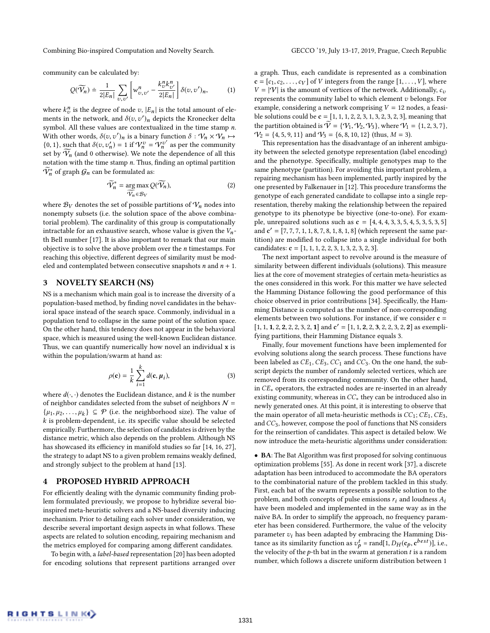Combining Bio-inspired Computation and Novelty Search. GECCO '19, July 13-17, 2019, Prague, Czech Republic

community can be calculated by:

$$
Q(\widetilde{V}_n) \doteq \frac{1}{2|E_n|} \sum_{v,v'} \left[ w_{v,v'}^n - \frac{k_v^n k_{v'}^n}{2|E_n|} \right] \delta(v,v')_n, \tag{1}
$$

where  $k_v^n$  is the degree of node v,  $|E_n|$  is the total amount of ele-<br>ments in the network, and  $\delta(z, z')$  denicts the Kronecker delta ments in the network, and  $\delta(v, v')_n$  depicts the Kronecker delta<br>symbol. All these values are contextualized in the time stamp n symbol. All these values are contextualized in the time stamp n. With other words,  $\delta(v, v')_n$  is a binary function  $\delta : \mathcal{V}_n \times \mathcal{V}_n \mapsto$ <br> $\delta(0, 1)$ , such that  $\delta(v, v') = 1$  if  $\mathcal{V}^v = \mathcal{W}^{v'}$  as per the community {0, 1}, such that  $\delta(v, v'_n) = 1$  if  $V_n^v = V_n^{v'}$  as per the community set by  $\widetilde{V}_n$  (and 0 otherwise). We note the dependence of all this set by  $\widetilde{\mathcal{V}_n}$  (and 0 otherwise). We note the dependence of all this notation with the time stamp n Thus finding an optimal partition notation with the time stamp  $n$ . Thus, finding an optimal partition  $\widetilde{V}_n^*$  of graph  $\mathcal{G}_n$  can be formulated as:

$$
\widetilde{V}_n^* = \underset{\widetilde{V}_n \in \mathcal{B}_V}{\arg \max} \mathcal{Q}(\widetilde{V}_n),\tag{2}
$$

where  $\mathcal{B}_V$  denotes the set of possible partitions of  $\mathcal{V}_n$  nodes into nonempty subsets (i.e. the solution space of the above combinatorial problem). The cardinality of this group is computationally intractable for an exhaustive search, whose value is given the  $V_n$ th Bell number [\[17\]](#page-6-22). It is also important to remark that our main objective is to solve the above problem over the  $n$  timestamps. For reaching this objective, different degrees of similarity must be modeled and contemplated between consecutive snapshots  $n$  and  $n + 1$ .

# <span id="page-2-0"></span>3 NOVELTY SEARCH (NS)

NS is a mechanism which main goal is to increase the diversity of a population-based method, by finding novel candidates in the behavioral space instead of the search space. Commonly, individual in a population tend to collapse in the same point of the solution space. On the other hand, this tendency does not appear in the behavioral space, which is measured using the well-known Euclidean distance. Thus, we can quantify numerically how novel an individual x is within the population/swarm at hand as:

$$
\rho(\mathbf{c}) = \frac{1}{k} \sum_{i=1}^{k} d(\mathbf{c}, \mu_i),
$$
\n(3)

where  $d(\cdot, \cdot)$  denotes the Euclidean distance, and k is the number<br>of neighbor condidates selected from the subset of neighbors  $\mathcal{N}$  – of neighbor candidates selected from the subset of neighbors  $N =$  $\{\mu_1, \mu_2, \ldots, \mu_k\} \subseteq \mathcal{P}$  (i.e. the neighborhood size). The value of  $k$  is problem-dependent i.e. its specific value should be selected k is problem-dependent, i.e. its specific value should be selected empirically. Furthermore, the selection of candidates is driven by the distance metric, which also depends on the problem. Although NS has showcased its efficiency in manifold studies so far [\[14,](#page-6-23) [16,](#page-6-24) [27\]](#page-6-25), the strategy to adapt NS to a given problem remains weakly defined, and strongly subject to the problem at hand [\[13\]](#page-6-26).

### <span id="page-2-1"></span>4 PROPOSED HYBRID APPROACH

For efficiently dealing with the dynamic community finding problem formulated previously, we propose to hybridize several bioinspired meta-heuristic solvers and a NS-based diversity inducing mechanism. Prior to detailing each solver under consideration, we describe several important design aspects in what follows. These aspects are related to solution encoding, repairing mechanism and the metrics employed for comparing among different candidates.

To begin with, a label-based representation [\[20\]](#page-6-27) has been adopted for encoding solutions that represent partitions arranged over a graph. Thus, each candidate is represented as a combination  $c = [c_1, c_2, \ldots, c_V]$  of V integers from the range  $[1, \ldots, V]$ , where  $V = |\mathcal{V}|$  is the amount of vertices of the network. Additionally,  $c_v$ represents the community label to which element  $v$  belongs. For example, considering a network comprising  $V = 12$  nodes, a feasible solutions could be  $c = [1, 1, 1, 2, 2, 3, 1, 3, 2, 3, 2, 3]$ , meaning that the partition obtained is  $\widetilde{V} = \{V_1, V_2, V_3\}$ , where  $V_1 = \{1, 2, 3, 7\}$ ,  $V_2 = \{4, 5, 9, 11\}$  and  $V_3 = \{6, 8, 10, 12\}$  (thus,  $M = 3$ ).

This representation has the disadvantage of an inherent ambiguity between the selected genotype representation (label encoding) and the phenotype. Specifically, multiple genotypes map to the same phenotype (partition). For avoiding this important problem, a repairing mechanism has been implemented, partly inspired by the one presented by Falkenauer in [\[12\]](#page-6-28). This procedure transforms the genotype of each generated candidate to collapse into a single representation, thereby making the relationship between the repaired genotype to its phenotype be biyective (one-to-one). For example, unrepaired solutions such as  $c = [4, 4, 4, 3, 3, 5, 4, 5, 3, 5, 3, 5]$ and  $\mathbf{c}' = [7, 7, 7, 1, 1, 8, 7, 8, 1, 8, 1, 8]$  (which represent the same par-<br>tition) are modified to collapse into a single individual for both tition) are modified to collapse into a single individual for both candidates:  $c = [1, 1, 1, 2, 2, 3, 1, 3, 2, 3, 2, 3]$ .

The next important aspect to revolve around is the measure of similarity between different individuals (solutions). This measure lies at the core of movement strategies of certain meta-heuristics as the ones considered in this work. For this matter we have selected the Hamming Distance following the good performance of this choice observed in prior contributions [\[34\]](#page-6-29). Specifically, the Hamming Distance is computed as the number of non-corresponding elements between two solutions. For instance, if we consider  $c =$  $[1, 1, 1, 2, 2, 2, 2, 3, 2, 1]$  and  $c' = [1, 1, 2, 2, 3, 2, 2, 3, 2, 2]$  as exempli-<br>fying partitions, their Hamming Distance equals 3 fying partitions, their Hamming Distance equals 3.

Finally, four movement functions have been implemented for evolving solutions along the search process. These functions have been labeled as  $CE_1$ ,  $CE_3$ ,  $CC_1$  and  $CC_3$ . On the one hand, the subscript depicts the number of randomly selected vertices, which are removed from its corresponding community. On the other hand, in CE<sup>∗</sup> operators, the extracted nodes are re-inserted in an already existing community, whereas in  $CC_*$  they can be introduced also in newly generated ones. At this point, it is interesting to observe that the main operator of all meta-heuristic methods is  $CC_1$ ;  $CE_1$ ,  $CE_3$ , and  $CC_3$ , however, compose the pool of functions that NS considers for the reinsertion of candidates. This aspect is detailed below. We now introduce the meta-heuristic algorithms under consideration:

• BA: The Bat Algorithm was first proposed for solving continuous optimization problems [\[55\]](#page-6-18). As done in recent work [\[37\]](#page-6-30), a discrete adaptation has been introduced to accommodate the BA operators to the combinatorial nature of the problem tackled in this study. First, each bat of the swarm represents a possible solution to the problem, and both concepts of pulse emissions  $r_i$  and loudness  $A_i$ have been modeled and implemented in the same way as in the naïve BA. In order to simplify the approach, no frequency parameter has been considered. Furthermore, the value of the velocity parameter  $v_i$  has been adapted by embracing the Hamming Distance as its similarity function as  $v_p^t = \text{rand}[1, D_H(\mathbf{c}_p, \mathbf{c}^{best})]$ , i.e., the velocity of the 0-th bat in the system at generation t is a random the velocity of the  $p$ -th bat in the swarm at generation  $t$  is a random number, which follows a discrete uniform distribution between 1

RIGHTSLINK()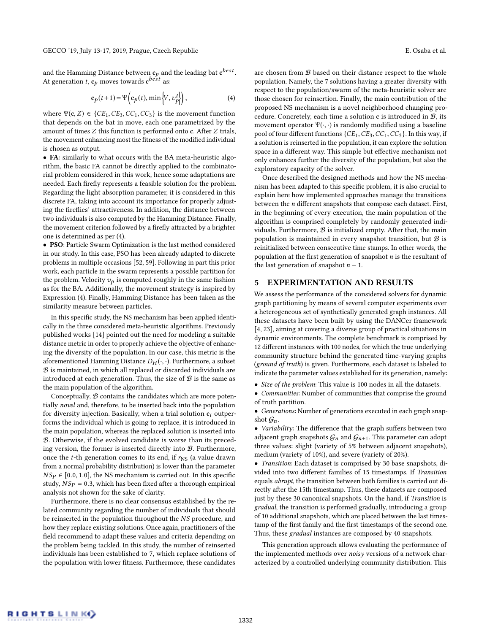and the Hamming Distance between  $c_p$  and the leading bat  $c^{best}$ .<br>At generation t.e., moves towards  $c^{best}$  as: At generation *t*,  $\mathbf{c}_p$  moves towards  $\mathbf{c}^{best}$  as:

<span id="page-3-1"></span>
$$
\mathbf{c}_p(t+1) = \Psi\left(\mathbf{c}_p(t), \min\left\{V, \, v_p^t\right\}\right),\tag{4}
$$

where  $\Psi(c, Z) \in \{CE_1, CE_3, CC_1, CC_3\}$  is the movement function that depends on the bat in move, each one parametrized by the amount of times Z this function is performed onto <sup>c</sup>. After Z trials, the movement enhancing most the fitness of the modified individual is chosen as output.

• FA: similarly to what occurs with the BA meta-heuristic algorithm, the basic FA cannot be directly applied to the combinatorial problem considered in this work, hence some adaptations are needed. Each firefly represents a feasible solution for the problem. Regarding the light absorption parameter, it is considered in this discrete FA, taking into account its importance for properly adjusting the fireflies' attractiveness. In addition, the distance between two individuals is also computed by the Hamming Distance. Finally, the movement criterion followed by a firefly attracted by a brighter one is determined as per [\(4\)](#page-3-1).

• PSO: Particle Swarm Optimization is the last method considered in our study. In this case, PSO has been already adapted to discrete problems in multiple occasions [\[52,](#page-6-31) [59\]](#page-6-32). Following in part this prior work, each particle in the swarm represents a possible partition for the problem. Velocity  $v_p$  is computed roughly in the same fashion as for the BA. Additionally, the movement strategy is inspired by Expression [\(4\)](#page-3-1). Finally, Hamming Distance has been taken as the similarity measure between particles.

In this specific study, the NS mechanism has been applied identically in the three considered meta-heuristic algorithms. Previously published works [\[14\]](#page-6-23) pointed out the need for modeling a suitable distance metric in order to properly achieve the objective of enhancing the diversity of the population. In our case, this metric is the aforementioned Hamming Distance  $D_H(\cdot, \cdot)$ . Furthermore, a subset  $B$  is maintained, in which all replaced or discarded individuals are introduced at each generation. Thus, the size of  $\mathcal{B}$  is the same as the main population of the algorithm.

Conceptually,  $B$  contains the candidates which are more potentially novel and, therefore, to be inserted back into the population for diversity injection. Basically, when a trial solution  $c_i$  outperforms the individual which is going to replace, it is introduced in the main population, whereas the replaced solution is inserted into B. Otherwise, if the evolved candidate is worse than its preceding version, the former is inserted directly into B. Furthermore, once the *t*-th generation comes to its end, if  $r_{\text{NS}}$  (a value drawn from a normal probability distribution) is lower than the parameter  $NS_p \in [0.0, 1.0]$ , the NS mechanism is carried out. In this specific study,  $NS_P = 0.3$ , which has been fixed after a thorough empirical analysis not shown for the sake of clarity.

Furthermore, there is no clear consensus established by the related community regarding the number of individuals that should be reinserted in the population throughout the NS procedure, and how they replace existing solutions. Once again, practitioners of the field recommend to adapt these values and criteria depending on the problem being tackled. In this study, the number of reinserted individuals has been established to 7, which replace solutions of the population with lower fitness. Furthermore, these candidates

are chosen from  $\mathcal B$  based on their distance respect to the whole population. Namely, the 7 solutions having a greater diversity with respect to the population/swarm of the meta-heuristic solver are those chosen for reinsertion. Finally, the main contribution of the

proposed NS mechanism is a novel neighborhood changing procedure. Concretely, each time a solution  $c$  is introduced in  $B$ , its movement operator  $\Psi(\cdot, \cdot)$  is randomly modified using a baseline pool of four different functions  $\{CE_1, CE_3, CC_1, CC_3\}$ . In this way, if a solution is reinserted in the population, it can explore the solution space in a different way. This simple but effective mechanism not only enhances further the diversity of the population, but also the exploratory capacity of the solver.

Once described the designed methods and how the NS mechanism has been adapted to this specific problem, it is also crucial to explain here how implemented approaches manage the transitions between the n different snapshots that compose each dataset. First, in the beginning of every execution, the main population of the algorithm is comprised completely by randomly generated individuals. Furthermore,  $B$  is initialized empty. After that, the main population is maintained in every snapshot transition, but  $B$  is reinitialized between consecutive time stamps. In other words, the population at the first generation of snapshot  $n$  is the resultant of the last generation of snapshot  $n - 1$ .

## <span id="page-3-0"></span>5 EXPERIMENTATION AND RESULTS

We assess the performance of the considered solvers for dynamic graph partitioning by means of several computer experiments over a heterogeneous set of synthetically generated graph instances. All these datasets have been built by using the DANCer framework [\[4,](#page-5-10) [23\]](#page-6-33), aiming at covering a diverse group of practical situations in dynamic environments. The complete benchmark is comprised by 12 different instances with 100 nodes, for which the true underlying community structure behind the generated time-varying graphs (ground of truth) is given. Furthermore, each dataset is labeled to indicate the parameter values established for its generation, namely:

• Size of the problem: This value is 100 nodes in all the datasets.

• Communities: Number of communities that comprise the ground of truth partition.

• Generations: Number of generations executed in each graph snapshot  $\mathcal{G}_n$ .

• Variability: The difference that the graph suffers between two adjacent graph snapshots  $G_n$  and  $G_{n+1}$ . This parameter can adopt three values: slight (variety of 5% between adjacent snapshots), medium (variety of 10%), and severe (variety of 20%).

• Transition: Each dataset is comprised by 30 base snapshots, divided into two different families of 15 timestamps. If Transition equals abrupt, the transition between both families is carried out directly after the 15th timestamp. Thus, these datasets are composed just by these 30 canonical snapshots. On the hand, if Transition is gradual, the transition is performed gradually, introducing a group of 10 additional snapshots, which are placed between the last timestamp of the first family and the first timestamps of the second one. Thus, these gradual instances are composed by 40 snapshots.

This generation approach allows evaluating the performance of the implemented methods over noisy versions of a network characterized by a controlled underlying community distribution. This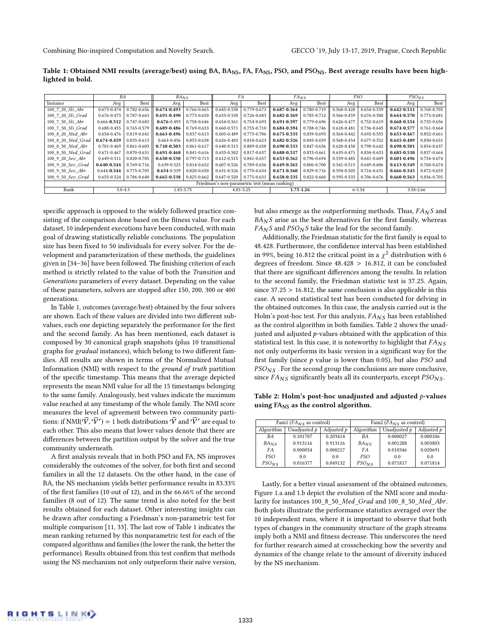Combining Bio-inspired Computation and Novelty Search. GECCO '19, July 13-17, 2019, Prague, Czech Republic

<span id="page-4-0"></span>Table 1: Obtained NMI results (average/best) using BA, BA<sub>NS</sub>, FA, FA<sub>NS</sub>, PSO, and PSO<sub>NS</sub>. Best average results have been highlighted in bold.

|                                               | BA              |             | $BA_{NS}$       |                 |                 | FA          | $FA_{NS}$       |             | PSO             |                 | $PSO_{NS}$      |                 |
|-----------------------------------------------|-----------------|-------------|-----------------|-----------------|-----------------|-------------|-----------------|-------------|-----------------|-----------------|-----------------|-----------------|
| Instance                                      | Avg             | Best        | Avg             | Best            | Avg             | Best        | Avg             | Best        | Avg             | Best            | Avg             | Best            |
| 100 7 20 Sli Abr                              | 0.673-0.474     | 0.782-0.656 | 0.674-0.493     | 0.766-0.665     | 0.645-0.538     | 0.779-0.673 | 0.687-0.564     | 0.780-0.719 | 0.568-0.428     | 0.654-0.539     | $0.642 - 0.511$ | 0.768-0.705     |
| 100 7 20 Sli Grad                             | 0.676-0.473     | 0.787-0.663 | $0.691 - 0.490$ | 0.773-0.650     | 0.633-0.530     | 0.726-0.683 | 0.682-0.569     | 0.785-0.712 | 0.566-0.459     | 0.676-0.588     | $0.644 - 0.570$ | 0.773-0.681     |
| 100 7 50 Sli Abr                              | $0.666 - 0.512$ | 0.747-0.683 | $0.676 - 0.493$ | 0.758-0.646     | 0.654-0.561     | 0.754-0.693 | $0.691 - 0.597$ | 0.779-0.696 | $0.626 - 0.477$ | 0.752-0.619     | 0.668-0.554     | 0.735-0.656     |
| 100 7 50 Sli Grad                             | 0.688-0.455     | 0.765-0.579 | 0.689-0.486     | 0.769-0.633     | 0.660-0.571     | 0.755-0.710 | 0.684-0.594     | 0.788-0.746 | 0.618-0.481     | 0.736-0.645     | 0.674-0.577     | $0.761 - 0.664$ |
| 100 8 20 Med Abr                              | 0.654-0.476     | 0.819-0.641 | 0.663-0.496     | 0.837-0.613     | 0.605-0.489     | 0.775-0.706 | $0.675 - 0.535$ | 0.839-0.693 | 0.564-0.442     | 0.692-0.555     | $0.653 - 0.467$ | 0.852-0.661     |
| 100 8 20 Med Grad                             | $0.674 - 0.459$ | 0.835-0.613 | $0.663 - 0.456$ | 0.855-0.638     | $0.626 - 0.483$ | 0.818-0.623 | $0.682 - 0.526$ | 0.845-0.659 | 0.568-0.454     | $0.677 - 0.552$ | 0.645-0.489     | 0.850-0.631     |
| 100 8 50 Med Abr                              | $0.701 - 0.469$ | 0.861-0.603 | $0.710 - 0.503$ | 0.861-0.617     | $0.640 - 0.513$ | 0.889-0.658 | 0.690-0.533     | 0.847-0.636 | $0.620 - 0.458$ | 0.798-0.642     | 0.698-0.501     | 0.854-0.637     |
| 100 8 50 Med Grad                             | $0.671 - 0.467$ | 0.870-0.631 | 0.691-0.468     | 0.841-0.616     | 0.655-0.502     | 0.817-0.637 | 0.688-0.517     | 0.833-0.661 | $0.635 - 0.471$ | 0.834-0.653     | $0.685 - 0.510$ | 0.837-0.664     |
| 100 9 20 Sev Abr                              | $0.649 - 0.511$ | 0.820-0.705 | $0.650 - 0.530$ | 0.797-0.713     | $0.612 - 0.515$ | 0.841-0.657 | 0.653-0.562     | 0.796-0.694 | 0.539-0.485     | $0.641 - 0.609$ | $0.601 - 0.496$ | 0.754-0.674     |
| 100 9 20 Sev Grad                             | $0.640 - 0.544$ | 0.769-0.716 | 0.639-0.525     | 0.814-0.652     | $0.607 - 0.526$ | 0.789-0.656 | 0.649-0.565     | 0.806-0.700 | 0.541-0.515     | $0.649 - 0.606$ | $0.613 - 0.549$ | 0.768-0.674     |
| 100 9 50 Sev Abr                              | $0.644 - 0.544$ | 0.775-0.705 | $0.654 - 0.539$ | $0.820 - 0.650$ | $0.631 - 0.526$ | 0.770-0.634 | $0.671 - 0.560$ | 0.829-0.716 | 0.594-0.505     | 0.716-0.631     | 0.666-0.545     | 0.872-0.655     |
| 100 9 50 Sev Grad                             | 0.655-0.524     | 0.786-0.640 | $0.665 - 0.538$ | 0.825-0.662     | $0.647 - 0.520$ | 0.775-0.631 | 0.658-0.535     | 0.822-0.660 | 0.595-0.535     | 0.706-0.676     | $0.660 - 0.563$ | 0.836-0.705     |
| Friedman's non-parametric test (mean ranking) |                 |             |                 |                 |                 |             |                 |             |                 |                 |                 |                 |
| Rank                                          | $3.0 - 4.5$     |             | 1.83-3.75       |                 | 4.83-3.25       |             | $1.75 - 1.26$   |             | $6 - 5.54$      |                 | 3.58-2.66       |                 |

specific approach is opposed to the widely followed practice consisting of the comparison done based on the fitness value. For each dataset, 10 independent executions have been conducted, with main goal of drawing statistically reliable conclusions. The population size has been fixed to 50 individuals for every solver. For the development and parameterization of these methods, the guidelines given in [\[34–](#page-6-29)[36\]](#page-6-34) have been followed. The finishing criterion of each method is strictly related to the value of both the Transition and Generations parameters of every dataset. Depending on the value of these parameters, solvers are stopped after 150, 200, 300 or 400 generations.

In Table [1,](#page-4-0) outcomes (average/best) obtained by the four solvers are shown. Each of these values are divided into two different subvalues, each one depicting separately the performance for the first and the second family. As has been mentioned, each dataset is composed by 30 canonical graph snapshots (plus 10 transitional graphs for gradual instances), which belong to two different families. All results are shown in terms of the Normalized Mutual Information (NMI) with respect to the ground of truth partition of the specific timestamp. This means that the average depicted represents the mean NMI value for all the 15 timestamps belonging to the same family. Analogously, best values indicate the maximum value reached at any timestamp of the whole family. The NMI score measures the level of agreement between two community partitions: if NMI( $(\widetilde{V}, \widetilde{V}') = 1$  both distributions  $\widetilde{V}$  and  $\widetilde{V}'$  are equal to each other. This also means that lower values denote that there are each other. This also means that lower values denote that there are differences between the partition output by the solver and the true community underneath.

A first analysis reveals that in both PSO and FA, NS improves considerably the outcomes of the solver, for both first and second families in all the 12 datasets. On the other hand, in the case of BA, the NS mechanism yields better performance results in 83.33% of the first families (10 out of 12), and in the 66.66% of the second families (8 out of 12). The same trend is also noted for the best results obtained for each dataset. Other interesting insights can be drawn after conducting a Friedman's non-parametric test for multiple comparison [\[11,](#page-5-11) [33\]](#page-6-35). The last row of Table [1](#page-4-0) indicates the mean ranking returned by this nonparametric test for each of the compared algorithms and families (the lower the rank, the better the performance). Results obtained from this test confirm that methods using the NS mechanism not only outperform their naïve version, but also emerge as the outperforming methods. Thus,  $FA<sub>N</sub>S$  and  $B\!A_{N}S$  arise as the best alternatives for the first family, whereas  $F A_N S$  and  $PSO_N S$  take the lead for the second family.

Additionally, the Friedman statistic for the first family is equal to <sup>48</sup>.428. Furthermore, the confidence interval has been established in 99%, being 16.812 the critical point in a  $\chi^2$  distribution with 6 degrees of freedom. Since 48,428  $\gt$  16,812, it can be concluded degrees of freedom. Since <sup>48</sup>.<sup>428</sup> > <sup>16</sup>.812, it can be concluded that there are significant differences among the results. In relation to the second family, the Friedman statistic test is <sup>37</sup>.25. Again, since <sup>37</sup>.<sup>25</sup> > <sup>16</sup>.812, the same conclusion is also applicable in this case. A second statistical test has been conducted for delving in the obtained outcomes. In this case, the analysis carried out is the Holm's post-hoc test. For this analysis,  $FA_{NS}$  has been established as the control algorithm in both families. Table [2](#page-4-1) shows the unadjusted and adjusted  $p$ -values obtained with the application of this statistical test. In this case, it is noteworthy to highlight that  $FA_{NS}$ not only outperforms its basic version in a significant way for the first family (since  $p$  value is lower than 0.05), but also  $PSO$  and  $PSO_{NS}$ . For the second group the conclusions are more conclusive, since  $FA_{NS}$  significantly beats all its counterparts, except  $PSO_{NS}$ .

<span id="page-4-1"></span>Table 2: Holm's post-hoc unadjusted and adjusted  $p$ -values using FA<sub>NS</sub> as the control algorithm.

|              |            | Fam2 ( $FA_{NS}$ as control) |              |            |  |  |
|--------------|------------|------------------------------|--------------|------------|--|--|
| Unadjusted p | Adjusted p | Algorithm                    | Unadjusted p | Adjusted p |  |  |
| 0.101707     | 0.203414   | BA                           | 0.000027     | 0.000106   |  |  |
| 0.913116     | 0.913116   | $BA_{NS}$                    | 0.001288     | 0.003803   |  |  |
| 0.000054     | 0.000217   | FA                           | 0.010346     | 0.020691   |  |  |
| 0.0          | 0.0        | P.SO                         | 0.0          | 0.0        |  |  |
| 0.016377     | 0.049132   | $PSO_{NS}$                   | 0.071817     | 0.071814   |  |  |
|              |            | Fam1 ( $FA_{NS}$ as control) |              |            |  |  |

Lastly, for a better visual assessment of the obtained outcomes, Figure [1.](#page-5-12)a and [1.](#page-5-12)b depict the evolution of the NMI score and modularity for instances 100\_8\_50\_Med\_Grad and 100\_8\_50\_Med\_Abr. Both plots illustrate the performance statistics averaged over the 10 independent runs, where it is important to observe that both types of changes in the community structure of the graph streams imply both a NMI and fitness decrease. This underscores the need for further research aimed at crosschecking how the severity and dynamics of the change relate to the amount of diversity induced by the NS mechanism.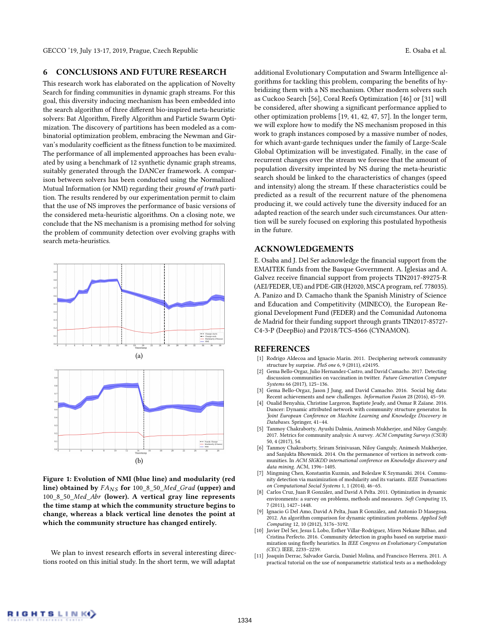GECCO '19, July 13-17, 2019, Prague, Czech Republic E. Osaba et al.

## <span id="page-5-7"></span>6 CONCLUSIONS AND FUTURE RESEARCH

This research work has elaborated on the application of Novelty Search for finding communities in dynamic graph streams. For this goal, this diversity inducing mechanism has been embedded into the search algorithm of three different bio-inspired meta-heuristic solvers: Bat Algorithm, Firefly Algorithm and Particle Swarm Optimization. The discovery of partitions has been modeled as a combinatorial optimization problem, embracing the Newman and Girvan's modularity coefficient as the fitness function to be maximized. The performance of all implemented approaches has been evaluated by using a benchmark of 12 synthetic dynamic graph streams, suitably generated through the DANCer framework. A comparison between solvers has been conducted using the Normalized Mutual Information (or NMI) regarding their ground of truth partition. The results rendered by our experimentation permit to claim that the use of NS improves the performance of basic versions of the considered meta-heuristic algorithms. On a closing note, we conclude that the NS mechanism is a promising method for solving the problem of community detection over evolving graphs with search meta-heuristics.

<span id="page-5-12"></span>

Figure 1: Evolution of NMI (blue line) and modularity (red line) obtained by  $FA_{NS}$  for 100\_8\_50\_Med\_Grad (upper) and <sup>100</sup>\_8\_50\_Med\_Abr (lower). A vertical gray line represents the time stamp at which the community structure begins to change, whereas a black vertical line denotes the point at which the community structure has changed entirely.

We plan to invest research efforts in several interesting directions rooted on this initial study. In the short term, we will adaptat

additional Evolutionary Computation and Swarm Intelligence algorithms for tackling this problem, comparing the benefits of hybridizing them with a NS mechanism. Other modern solvers such as Cuckoo Search [\[56\]](#page-6-36), Coral Reefs Optimization [\[46\]](#page-6-37) or [\[31\]](#page-6-38) will be considered, after showing a significant performance applied to other optimization problems [\[19,](#page-6-39) [41,](#page-6-40) [42,](#page-6-41) [47,](#page-6-42) [57\]](#page-6-43). In the longer term, we will explore how to modify the NS mechanism proposed in this work to graph instances composed by a massive number of nodes, for which avant-garde techniques under the family of Large-Scale Global Optimization will be investigated. Finally, in the case of recurrent changes over the stream we foresee that the amount of population diversity imprinted by NS during the meta-heuristic search should be linked to the characteristics of changes (speed and intensity) along the stream. If these characteristics could be predicted as a result of the recurrent nature of the phenomena producing it, we could actively tune the diversity induced for an adapted reaction of the search under such circumstances. Our attention will be surely focused on exploring this postulated hypothesis in the future.

## ACKNOWLEDGEMENTS

E. Osaba and J. Del Ser acknowledge the financial support from the EMAITEK funds from the Basque Government. A. Iglesias and A. Galvez receive financial support from projects TIN2017-89275-R (AEI/FEDER, UE) and PDE-GIR (H2020, MSCA program, ref. 778035). A. Panizo and D. Camacho thank the Spanish Ministry of Science and Education and Competitivity (MINECO), the European Regional Development Fund (FEDER) and the Comunidad Autonoma de Madrid for their funding support through grants TIN2017-85727- C4-3-P (DeepBio) and P2018/TCS-4566 (CYNAMON).

## REFERENCES

- <span id="page-5-2"></span>[1] Rodrigo Aldecoa and Ignacio Marín. 2011. Deciphering network community structure by surprise. PloS one 6, 9 (2011), e24195.
- <span id="page-5-1"></span>[2] Gema Bello-Orgaz, Julio Hernandez-Castro, and David Camacho. 2017. Detecting discussion communities on vaccination in twitter. Future Generation Computer Systems 66 (2017), 125–136.
- <span id="page-5-0"></span>[3] Gema Bello-Orgaz, Jason J Jung, and David Camacho. 2016. Social big data: Recent achievements and new challenges. Information Fusion 28 (2016), 45–59.
- <span id="page-5-10"></span>[4] Oualid Benyahia, Christine Largeron, Baptiste Jeudy, and Osmar R Zaïane. 2016. Dancer: Dynamic attributed network with community structure generator. In Joint European Conference on Machine Learning and Knowledge Discovery in Databases. Springer, 41–44.
- <span id="page-5-8"></span>[5] Tanmoy Chakraborty, Ayushi Dalmia, Animesh Mukherjee, and Niloy Ganguly. 2017. Metrics for community analysis: A survey. ACM Computing Surveys (CSUR) 50, 4 (2017), 54.
- <span id="page-5-3"></span>[6] Tanmoy Chakraborty, Sriram Srinivasan, Niloy Ganguly, Animesh Mukherjee, and Sanjukta Bhowmick. 2014. On the permanence of vertices in network communities. In ACM SIGKDD international conference on Knowledge discovery and data mining. ACM, 1396–1405.
- <span id="page-5-9"></span>[7] Mingming Chen, Konstantin Kuzmin, and Boleslaw K Szymanski. 2014. Community detection via maximization of modularity and its variants. IEEE Transactions on Computational Social Systems 1, 1 (2014), 46–65.
- <span id="page-5-5"></span>[8] Carlos Cruz, Juan R González, and David A Pelta. 2011. Optimization in dynamic environments: a survey on problems, methods and measures. Soft Computing 15, 7 (2011), 1427–1448.
- <span id="page-5-6"></span>[9] Ignacio G Del Amo, David A Pelta, Juan R González, and Antonio D Masegosa. 2012. An algorithm comparison for dynamic optimization problems. Applied Soft Computing 12, 10 (2012), 3176–3192.
- <span id="page-5-4"></span>[10] Javier Del Ser, Jesus L Lobo, Esther Villar-Rodriguez, Miren Nekane Bilbao, and Cristina Perfecto. 2016. Community detection in graphs based on surprise maximization using firefly heuristics. In IEEE Congress on Evolutionary Computation (CEC). IEEE, 2233–2239.
- <span id="page-5-11"></span>[11] Joaquín Derrac, Salvador García, Daniel Molina, and Francisco Herrera. 2011. A practical tutorial on the use of nonparametric statistical tests as a methodology